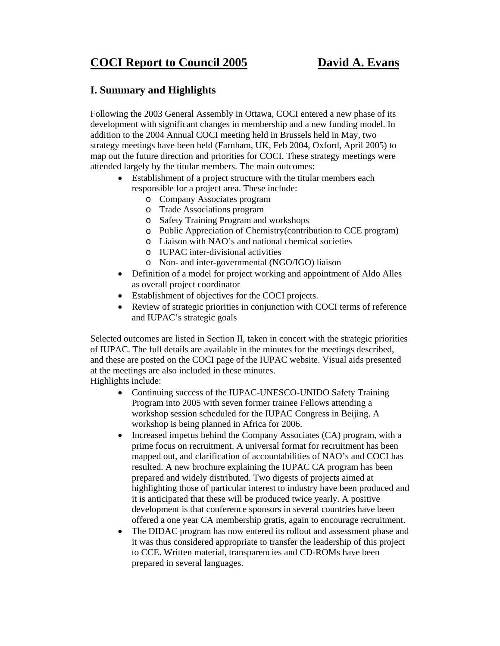# **COCI Report to Council 2005 David A. Evans**

### **I. Summary and Highlights**

Following the 2003 General Assembly in Ottawa, COCI entered a new phase of its development with significant changes in membership and a new funding model. In addition to the 2004 Annual COCI meeting held in Brussels held in May, two strategy meetings have been held (Farnham, UK, Feb 2004, Oxford, April 2005) to map out the future direction and priorities for COCI. These strategy meetings were attended largely by the titular members. The main outcomes:

- Establishment of a project structure with the titular members each responsible for a project area. These include:
	- o Company Associates program
	- o Trade Associations program
	- o Safety Training Program and workshops
	- o Public Appreciation of Chemistry(contribution to CCE program)
	- o Liaison with NAO's and national chemical societies
	- o IUPAC inter-divisional activities
	- o Non- and inter-governmental (NGO/IGO) liaison
- Definition of a model for project working and appointment of Aldo Alles as overall project coordinator
- Establishment of objectives for the COCI projects.
- Review of strategic priorities in conjunction with COCI terms of reference and IUPAC's strategic goals

Selected outcomes are listed in Section II, taken in concert with the strategic priorities of IUPAC. The full details are available in the minutes for the meetings described, and these are posted on the COCI page of the IUPAC website. Visual aids presented at the meetings are also included in these minutes.

Highlights include:

- Continuing success of the IUPAC-UNESCO-UNIDO Safety Training Program into 2005 with seven former trainee Fellows attending a workshop session scheduled for the IUPAC Congress in Beijing. A workshop is being planned in Africa for 2006.
- Increased impetus behind the Company Associates (CA) program, with a prime focus on recruitment. A universal format for recruitment has been mapped out, and clarification of accountabilities of NAO's and COCI has resulted. A new brochure explaining the IUPAC CA program has been prepared and widely distributed. Two digests of projects aimed at highlighting those of particular interest to industry have been produced and it is anticipated that these will be produced twice yearly. A positive development is that conference sponsors in several countries have been offered a one year CA membership gratis, again to encourage recruitment.
- The DIDAC program has now entered its rollout and assessment phase and it was thus considered appropriate to transfer the leadership of this project to CCE. Written material, transparencies and CD-ROMs have been prepared in several languages.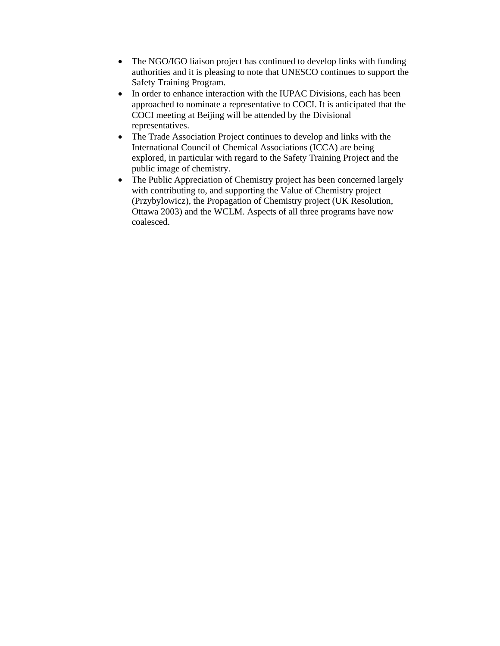- The NGO/IGO liaison project has continued to develop links with funding authorities and it is pleasing to note that UNESCO continues to support the Safety Training Program.
- In order to enhance interaction with the IUPAC Divisions, each has been approached to nominate a representative to COCI. It is anticipated that the COCI meeting at Beijing will be attended by the Divisional representatives.
- The Trade Association Project continues to develop and links with the International Council of Chemical Associations (ICCA) are being explored, in particular with regard to the Safety Training Project and the public image of chemistry.
- The Public Appreciation of Chemistry project has been concerned largely with contributing to, and supporting the Value of Chemistry project (Przybylowicz), the Propagation of Chemistry project (UK Resolution, Ottawa 2003) and the WCLM. Aspects of all three programs have now coalesced.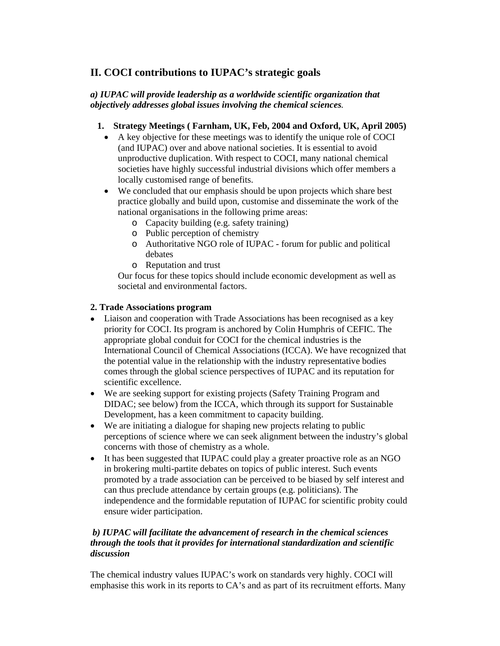## **II. COCI contributions to IUPAC's strategic goals**

#### *a) IUPAC will provide leadership as a worldwide scientific organization that objectively addresses global issues involving the chemical sciences.*

#### **1. Strategy Meetings ( Farnham, UK, Feb, 2004 and Oxford, UK, April 2005)**

- A key objective for these meetings was to identify the unique role of COCI (and IUPAC) over and above national societies. It is essential to avoid unproductive duplication. With respect to COCI, many national chemical societies have highly successful industrial divisions which offer members a locally customised range of benefits.
- We concluded that our emphasis should be upon projects which share best practice globally and build upon, customise and disseminate the work of the national organisations in the following prime areas:
	- o Capacity building (e.g. safety training)
	- o Public perception of chemistry
	- o Authoritative NGO role of IUPAC forum for public and political debates
	- o Reputation and trust

Our focus for these topics should include economic development as well as societal and environmental factors.

#### **2. Trade Associations program**

- Liaison and cooperation with Trade Associations has been recognised as a key priority for COCI. Its program is anchored by Colin Humphris of CEFIC. The appropriate global conduit for COCI for the chemical industries is the International Council of Chemical Associations (ICCA). We have recognized that the potential value in the relationship with the industry representative bodies comes through the global science perspectives of IUPAC and its reputation for scientific excellence.
- We are seeking support for existing projects (Safety Training Program and DIDAC; see below) from the ICCA, which through its support for Sustainable Development, has a keen commitment to capacity building.
- We are initiating a dialogue for shaping new projects relating to public perceptions of science where we can seek alignment between the industry's global concerns with those of chemistry as a whole.
- It has been suggested that IUPAC could play a greater proactive role as an NGO in brokering multi-partite debates on topics of public interest. Such events promoted by a trade association can be perceived to be biased by self interest and can thus preclude attendance by certain groups (e.g. politicians). The independence and the formidable reputation of IUPAC for scientific probity could ensure wider participation.

#### *b) IUPAC will facilitate the advancement of research in the chemical sciences through the tools that it provides for international standardization and scientific discussion*

The chemical industry values IUPAC's work on standards very highly. COCI will emphasise this work in its reports to CA's and as part of its recruitment efforts. Many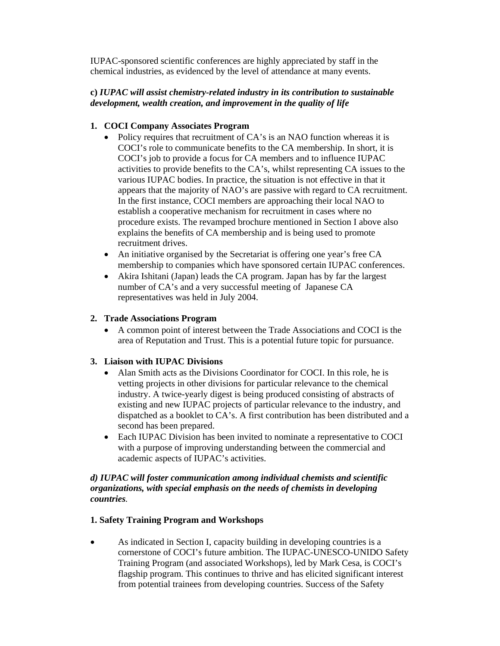IUPAC-sponsored scientific conferences are highly appreciated by staff in the chemical industries, as evidenced by the level of attendance at many events.

#### **c)** *IUPAC will assist chemistry-related industry in its contribution to sustainable development, wealth creation, and improvement in the quality of life*

#### **1. COCI Company Associates Program**

- Policy requires that recruitment of CA's is an NAO function whereas it is COCI's role to communicate benefits to the CA membership. In short, it is COCI's job to provide a focus for CA members and to influence IUPAC activities to provide benefits to the CA's, whilst representing CA issues to the various IUPAC bodies. In practice, the situation is not effective in that it appears that the majority of NAO's are passive with regard to CA recruitment. In the first instance, COCI members are approaching their local NAO to establish a cooperative mechanism for recruitment in cases where no procedure exists. The revamped brochure mentioned in Section I above also explains the benefits of CA membership and is being used to promote recruitment drives.
- An initiative organised by the Secretariat is offering one year's free CA membership to companies which have sponsored certain IUPAC conferences.
- Akira Ishitani (Japan) leads the CA program. Japan has by far the largest number of CA's and a very successful meeting of Japanese CA representatives was held in July 2004.

#### **2. Trade Associations Program**

• A common point of interest between the Trade Associations and COCI is the area of Reputation and Trust. This is a potential future topic for pursuance.

#### **3. Liaison with IUPAC Divisions**

- Alan Smith acts as the Divisions Coordinator for COCI. In this role, he is vetting projects in other divisions for particular relevance to the chemical industry. A twice-yearly digest is being produced consisting of abstracts of existing and new IUPAC projects of particular relevance to the industry, and dispatched as a booklet to CA's. A first contribution has been distributed and a second has been prepared.
- Each IUPAC Division has been invited to nominate a representative to COCI with a purpose of improving understanding between the commercial and academic aspects of IUPAC's activities.

#### *d) IUPAC will foster communication among individual chemists and scientific organizations, with special emphasis on the needs of chemists in developing countries.*

#### **1. Safety Training Program and Workshops**

• As indicated in Section I, capacity building in developing countries is a cornerstone of COCI's future ambition. The IUPAC-UNESCO-UNIDO Safety Training Program (and associated Workshops), led by Mark Cesa, is COCI's flagship program. This continues to thrive and has elicited significant interest from potential trainees from developing countries. Success of the Safety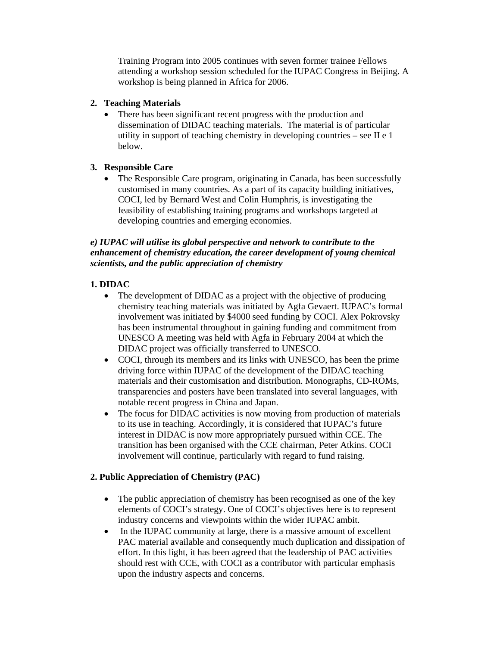Training Program into 2005 continues with seven former trainee Fellows attending a workshop session scheduled for the IUPAC Congress in Beijing. A workshop is being planned in Africa for 2006.

#### **2. Teaching Materials**

• There has been significant recent progress with the production and dissemination of DIDAC teaching materials. The material is of particular utility in support of teaching chemistry in developing countries – see II e 1 below.

#### **3. Responsible Care**

• The Responsible Care program, originating in Canada, has been successfully customised in many countries. As a part of its capacity building initiatives, COCI, led by Bernard West and Colin Humphris, is investigating the feasibility of establishing training programs and workshops targeted at developing countries and emerging economies.

#### *e) IUPAC will utilise its global perspective and network to contribute to the enhancement of chemistry education, the career development of young chemical scientists, and the public appreciation of chemistry*

#### **1. DIDAC**

- The development of DIDAC as a project with the objective of producing chemistry teaching materials was initiated by Agfa Gevaert. IUPAC's formal involvement was initiated by \$4000 seed funding by COCI. Alex Pokrovsky has been instrumental throughout in gaining funding and commitment from UNESCO A meeting was held with Agfa in February 2004 at which the DIDAC project was officially transferred to UNESCO.
- COCI, through its members and its links with UNESCO, has been the prime driving force within IUPAC of the development of the DIDAC teaching materials and their customisation and distribution. Monographs, CD-ROMs, transparencies and posters have been translated into several languages, with notable recent progress in China and Japan.
- The focus for DIDAC activities is now moving from production of materials to its use in teaching. Accordingly, it is considered that IUPAC's future interest in DIDAC is now more appropriately pursued within CCE. The transition has been organised with the CCE chairman, Peter Atkins. COCI involvement will continue, particularly with regard to fund raising.

#### **2. Public Appreciation of Chemistry (PAC)**

- The public appreciation of chemistry has been recognised as one of the key elements of COCI's strategy. One of COCI's objectives here is to represent industry concerns and viewpoints within the wider IUPAC ambit.
- In the IUPAC community at large, there is a massive amount of excellent PAC material available and consequently much duplication and dissipation of effort. In this light, it has been agreed that the leadership of PAC activities should rest with CCE, with COCI as a contributor with particular emphasis upon the industry aspects and concerns.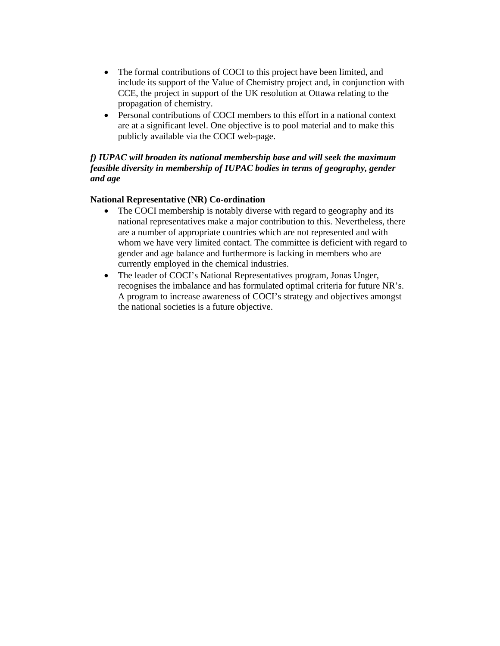- The formal contributions of COCI to this project have been limited, and include its support of the Value of Chemistry project and, in conjunction with CCE, the project in support of the UK resolution at Ottawa relating to the propagation of chemistry.
- Personal contributions of COCI members to this effort in a national context are at a significant level. One objective is to pool material and to make this publicly available via the COCI web-page.

#### *f) IUPAC will broaden its national membership base and will seek the maximum feasible diversity in membership of IUPAC bodies in terms of geography, gender and age*

#### **National Representative (NR) Co-ordination**

- The COCI membership is notably diverse with regard to geography and its national representatives make a major contribution to this. Nevertheless, there are a number of appropriate countries which are not represented and with whom we have very limited contact. The committee is deficient with regard to gender and age balance and furthermore is lacking in members who are currently employed in the chemical industries.
- The leader of COCI's National Representatives program, Jonas Unger, recognises the imbalance and has formulated optimal criteria for future NR's. A program to increase awareness of COCI's strategy and objectives amongst the national societies is a future objective.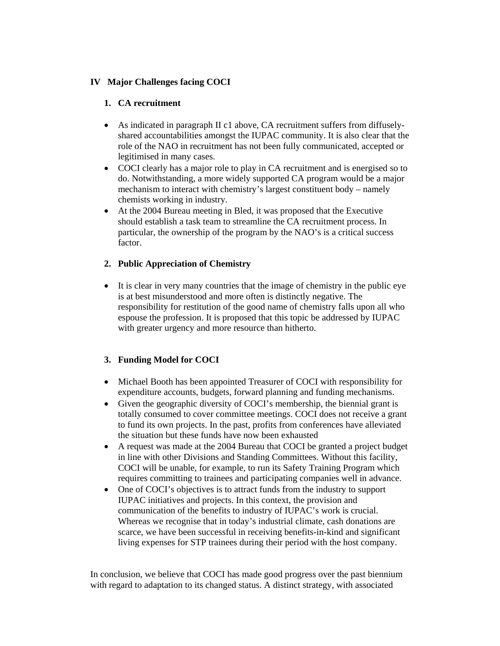#### **IV Major Challenges facing COCI**

#### **1. CA recruitment**

- As indicated in paragraph II c1 above, CA recruitment suffers from diffuselyshared accountabilities amongst the IUPAC community. It is also clear that the role of the NAO in recruitment has not been fully communicated, accepted or legitimised in many cases.
- COCI clearly has a major role to play in CA recruitment and is energised so to do. Notwithstanding, a more widely supported CA program would be a major mechanism to interact with chemistry's largest constituent body – namely chemists working in industry.
- At the 2004 Bureau meeting in Bled, it was proposed that the Executive should establish a task team to streamline the CA recruitment process. In particular, the ownership of the program by the NAO's is a critical success factor.

#### **2. Public Appreciation of Chemistry**

• It is clear in very many countries that the image of chemistry in the public eye is at best misunderstood and more often is distinctly negative. The responsibility for restitution of the good name of chemistry falls upon all who espouse the profession. It is proposed that this topic be addressed by IUPAC with greater urgency and more resource than hitherto.

#### **3. Funding Model for COCI**

- Michael Booth has been appointed Treasurer of COCI with responsibility for expenditure accounts, budgets, forward planning and funding mechanisms.
- Given the geographic diversity of COCI's membership, the biennial grant is totally consumed to cover committee meetings. COCI does not receive a grant to fund its own projects. In the past, profits from conferences have alleviated the situation but these funds have now been exhausted
- A request was made at the 2004 Bureau that COCI be granted a project budget in line with other Divisions and Standing Committees. Without this facility, COCI will be unable, for example, to run its Safety Training Program which requires committing to trainees and participating companies well in advance.
- One of COCI's objectives is to attract funds from the industry to support IUPAC initiatives and projects. In this context, the provision and communication of the benefits to industry of IUPAC's work is crucial. Whereas we recognise that in today's industrial climate, cash donations are scarce, we have been successful in receiving benefits-in-kind and significant living expenses for STP trainees during their period with the host company.

In conclusion, we believe that COCI has made good progress over the past biennium with regard to adaptation to its changed status. A distinct strategy, with associated